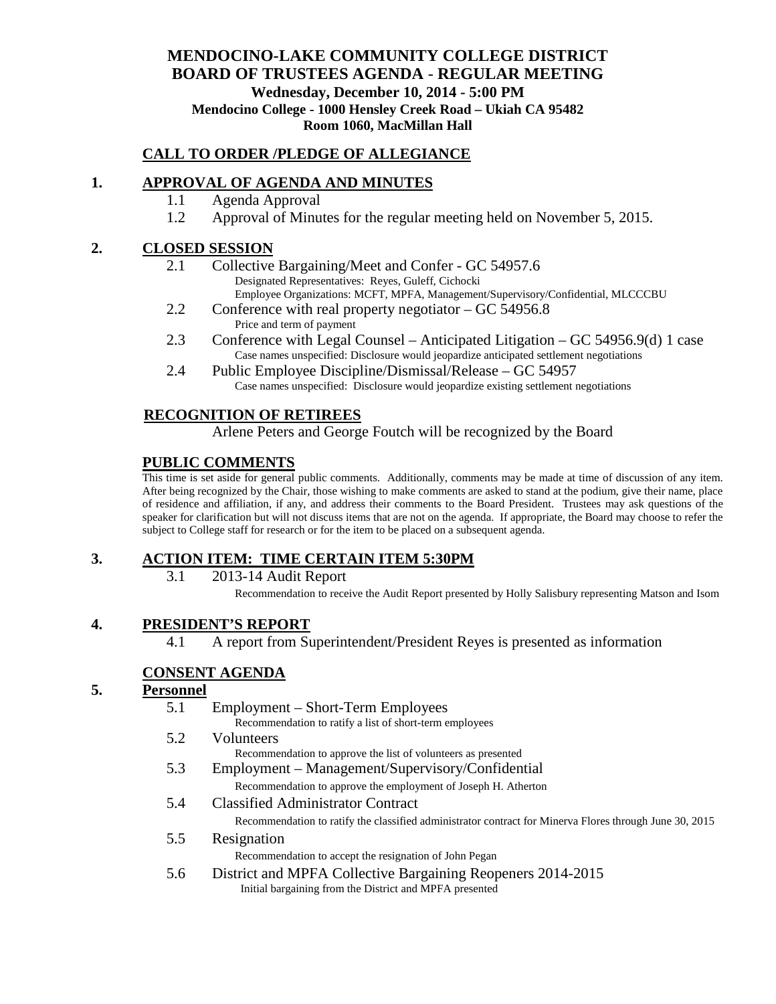#### **MENDOCINO-LAKE COMMUNITY COLLEGE DISTRICT BOARD OF TRUSTEES AGENDA** - **REGULAR MEETING Wednesday, December 10, 2014 - 5:00 PM Mendocino College - 1000 Hensley Creek Road – Ukiah CA 95482 Room 1060, MacMillan Hall**

#### **CALL TO ORDER /PLEDGE OF ALLEGIANCE**

#### **1. APPROVAL OF AGENDA AND MINUTES**

- 1.1 Agenda Approval
- 1.2 Approval of Minutes for the regular meeting held on November 5, 2015.

#### **2. CLOSED SESSION**

- 2.1 Collective Bargaining/Meet and Confer GC 54957.6 Designated Representatives: Reyes, Guleff, Cichocki Employee Organizations: MCFT, MPFA, Management/Supervisory/Confidential, MLCCCBU
- 2.2 Conference with real property negotiator GC 54956.8 Price and term of payment
- 2.3 Conference with Legal Counsel Anticipated Litigation GC 54956.9(d) 1 case Case names unspecified: Disclosure would jeopardize anticipated settlement negotiations
- 2.4 Public Employee Discipline/Dismissal/Release GC 54957 Case names unspecified: Disclosure would jeopardize existing settlement negotiations

#### **RECOGNITION OF RETIREES**

Arlene Peters and George Foutch will be recognized by the Board

#### **PUBLIC COMMENTS**

This time is set aside for general public comments. Additionally, comments may be made at time of discussion of any item. After being recognized by the Chair, those wishing to make comments are asked to stand at the podium, give their name, place of residence and affiliation, if any, and address their comments to the Board President. Trustees may ask questions of the speaker for clarification but will not discuss items that are not on the agenda. If appropriate, the Board may choose to refer the subject to College staff for research or for the item to be placed on a subsequent agenda.

### **3. ACTION ITEM: TIME CERTAIN ITEM 5:30PM**

3.1 2013-14 Audit Report

Recommendation to receive the Audit Report presented by Holly Salisbury representing Matson and Isom

#### **4. PRESIDENT'S REPORT**

4.1 A report from Superintendent/President Reyes is presented as information

### **CONSENT AGENDA**

#### **5. Personnel**

| 5.1 | Employment – Short-Term Employees                                                                       |
|-----|---------------------------------------------------------------------------------------------------------|
|     | Recommendation to ratify a list of short-term employees                                                 |
| 5.2 | Volunteers                                                                                              |
|     | Recommendation to approve the list of volunteers as presented                                           |
| 5.3 | Employment – Management/Supervisory/Confidential                                                        |
|     | Recommendation to approve the employment of Joseph H. Atherton                                          |
| 5.4 | <b>Classified Administrator Contract</b>                                                                |
|     | Recommendation to ratify the classified administrator contract for Minerva Flores through June 30, 2015 |
| 5.5 | Resignation                                                                                             |
|     | Recommendation to accept the resignation of John Pegan                                                  |
| 5.6 | District and MPFA Collective Bargaining Reopeners 2014-2015                                             |
|     | Initial bargaining from the District and MPFA presented                                                 |